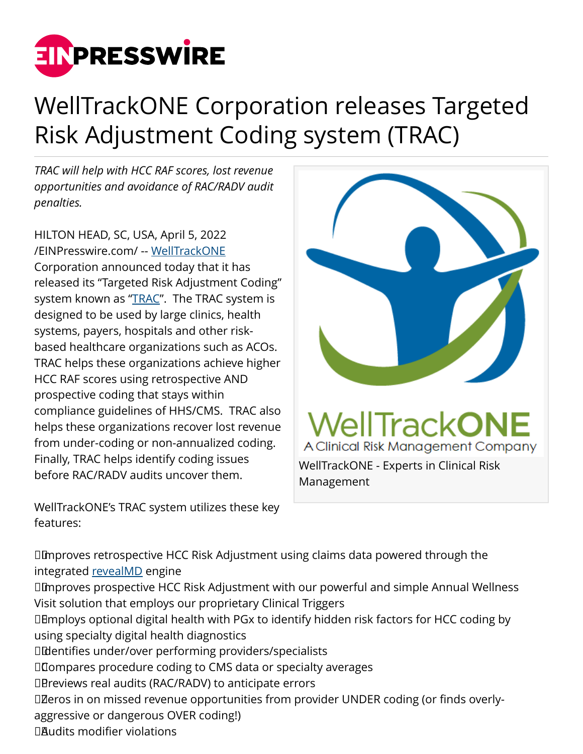

## WellTrackONE Corporation releases Targeted Risk Adjustment Coding system (TRAC)

*TRAC will help with HCC RAF scores, lost revenue opportunities and avoidance of RAC/RADV audit penalties.*

HILTON HEAD, SC, USA, April 5, 2022 [/EINPresswire.com/](http://www.einpresswire.com) -- [WellTrackONE](https://www.welltrackone.co) Corporation announced today that it has released its "Targeted Risk Adjustment Coding" system known as "[TRAC"](https://www.welltrackone.co/TRAC/). The TRAC system is designed to be used by large clinics, health systems, payers, hospitals and other riskbased healthcare organizations such as ACOs. TRAC helps these organizations achieve higher HCC RAF scores using retrospective AND prospective coding that stays within compliance guidelines of HHS/CMS. TRAC also helps these organizations recover lost revenue from under-coding or non-annualized coding. Finally, TRAC helps identify coding issues before RAC/RADV audits uncover them.

WellTrackONE's TRAC system utilizes these key features:



 Improves retrospective HCC Risk Adjustment using claims data powered through the integrated [revealMD](https://www.welltrackone.com/docs/TRAC_Product_Sheet.pdf) engine Improves prospective HCC Risk Adjustment with our powerful and simple Annual Wellness Visit solution that employs our proprietary Clinical Triggers Employs optional digital health with PGx to identify hidden risk factors for HCC coding by using specialty digital health diagnostics Identifies under/over performing providers/specialists Compares procedure coding to CMS data or specialty averages DB reviews real audits (RAC/RADV) to anticipate errors DZeros in on missed revenue opportunities from provider UNDER coding (or finds overlyaggressive or dangerous OVER coding!) Audits modifier violations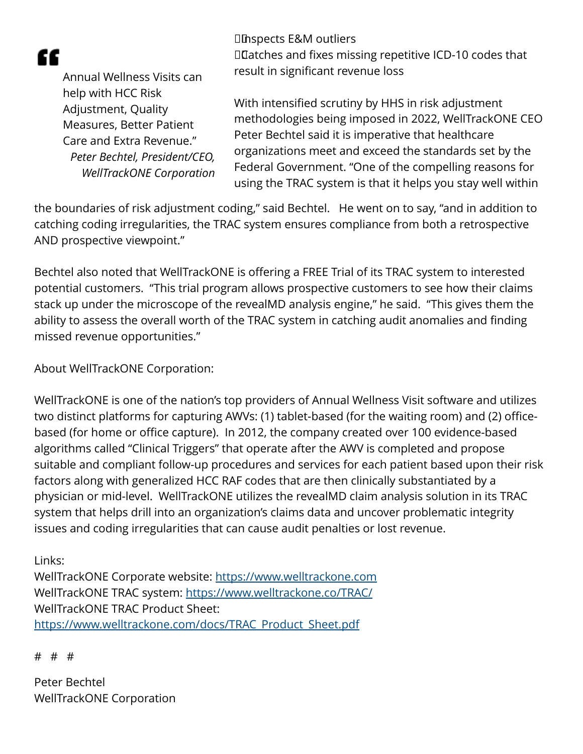æ

 Inspects E&M outliers Catches and fixes missing repetitive ICD-10 codes that result in significant revenue loss

Annual Wellness Visits can help with HCC Risk Adjustment, Quality Measures, Better Patient Care and Extra Revenue." *Peter Bechtel, President/CEO, WellTrackONE Corporation*

With intensified scrutiny by HHS in risk adjustment methodologies being imposed in 2022, WellTrackONE CEO Peter Bechtel said it is imperative that healthcare organizations meet and exceed the standards set by the Federal Government. "One of the compelling reasons for using the TRAC system is that it helps you stay well within

the boundaries of risk adjustment coding," said Bechtel. He went on to say, "and in addition to catching coding irregularities, the TRAC system ensures compliance from both a retrospective AND prospective viewpoint."

Bechtel also noted that WellTrackONE is offering a FREE Trial of its TRAC system to interested potential customers. "This trial program allows prospective customers to see how their claims stack up under the microscope of the revealMD analysis engine," he said. "This gives them the ability to assess the overall worth of the TRAC system in catching audit anomalies and finding missed revenue opportunities."

About WellTrackONE Corporation:

WellTrackONE is one of the nation's top providers of Annual Wellness Visit software and utilizes two distinct platforms for capturing AWVs: (1) tablet-based (for the waiting room) and (2) officebased (for home or office capture). In 2012, the company created over 100 evidence-based algorithms called "Clinical Triggers" that operate after the AWV is completed and propose suitable and compliant follow-up procedures and services for each patient based upon their risk factors along with generalized HCC RAF codes that are then clinically substantiated by a physician or mid-level. WellTrackONE utilizes the revealMD claim analysis solution in its TRAC system that helps drill into an organization's claims data and uncover problematic integrity issues and coding irregularities that can cause audit penalties or lost revenue.

Links:

WellTrackONE Corporate website:<https://www.welltrackone.com> WellTrackONE TRAC system:<https://www.welltrackone.co/TRAC/> WellTrackONE TRAC Product Sheet: [https://www.welltrackone.com/docs/TRAC\\_Product\\_Sheet.pdf](https://www.welltrackone.com/docs/TRAC_Product_Sheet.pdf)

# # #

Peter Bechtel WellTrackONE Corporation